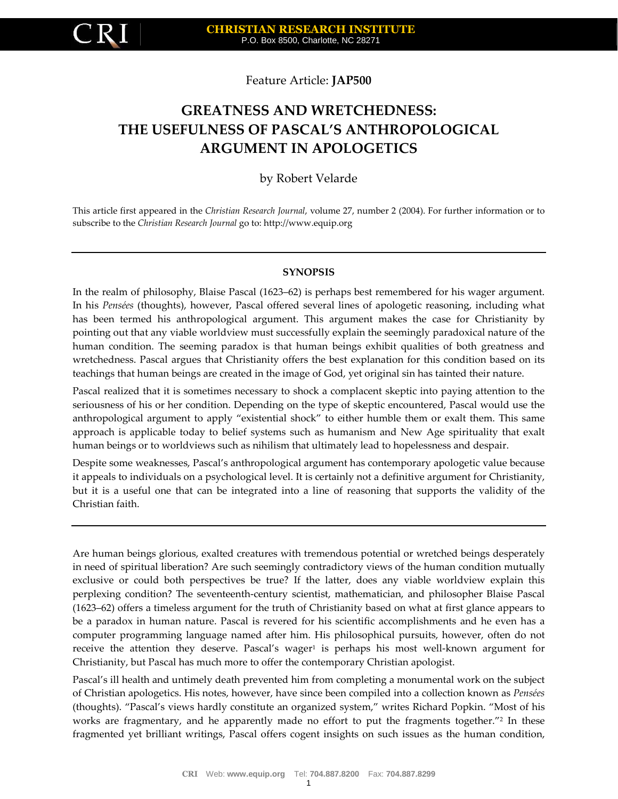

Feature Article: **JAP500**

# **GREATNESS AND WRETCHEDNESS: THE USEFULNESS OF PASCAL'S ANTHROPOLOGICAL ARGUMENT IN APOLOGETICS**

by Robert Velarde

This article first appeared in the *Christian Research Journal*, volume 27, number 2 (2004). For further information or to subscribe to the *Christian Research Journal* go to: http://www.equip.org

#### **SYNOPSIS**

In the realm of philosophy, Blaise Pascal (1623–62) is perhaps best remembered for his wager argument. In his *Pensées* (thoughts), however, Pascal offered several lines of apologetic reasoning, including what has been termed his anthropological argument. This argument makes the case for Christianity by pointing out that any viable worldview must successfully explain the seemingly paradoxical nature of the human condition. The seeming paradox is that human beings exhibit qualities of both greatness and wretchedness. Pascal argues that Christianity offers the best explanation for this condition based on its teachings that human beings are created in the image of God, yet original sin has tainted their nature.

Pascal realized that it is sometimes necessary to shock a complacent skeptic into paying attention to the seriousness of his or her condition. Depending on the type of skeptic encountered, Pascal would use the anthropological argument to apply "existential shock" to either humble them or exalt them. This same approach is applicable today to belief systems such as humanism and New Age spirituality that exalt human beings or to worldviews such as nihilism that ultimately lead to hopelessness and despair.

Despite some weaknesses, Pascal's anthropological argument has contemporary apologetic value because it appeals to individuals on a psychological level. It is certainly not a definitive argument for Christianity, but it is a useful one that can be integrated into a line of reasoning that supports the validity of the Christian faith.

Are human beings glorious, exalted creatures with tremendous potential or wretched beings desperately in need of spiritual liberation? Are such seemingly contradictory views of the human condition mutually exclusive or could both perspectives be true? If the latter, does any viable worldview explain this perplexing condition? The seventeenth-century scientist, mathematician, and philosopher Blaise Pascal (1623–62) offers a timeless argument for the truth of Christianity based on what at first glance appears to be a paradox in human nature. Pascal is revered for his scientific accomplishments and he even has a computer programming language named after him. His philosophical pursuits, however, often do not receive the attention they deserve. Pascal's wager<sup>1</sup> is perhaps his most well-known argument for Christianity, but Pascal has much more to offer the contemporary Christian apologist.

Pascal's ill health and untimely death prevented him from completing a monumental work on the subject of Christian apologetics. His notes, however, have since been compiled into a collection known as *Pensées* (thoughts). "Pascal's views hardly constitute an organized system," writes Richard Popkin. "Most of his works are fragmentary, and he apparently made no effort to put the fragments together."<sup>2</sup> In these fragmented yet brilliant writings, Pascal offers cogent insights on such issues as the human condition,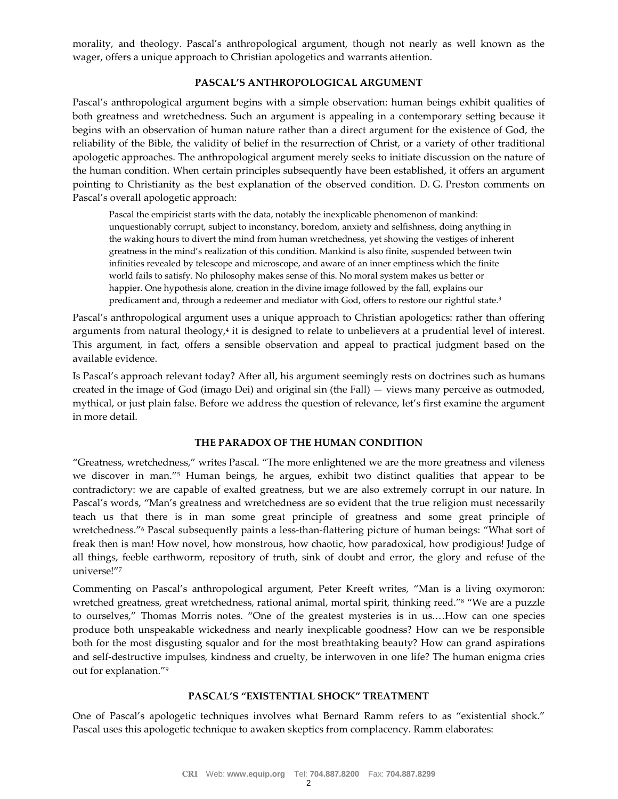morality, and theology. Pascal's anthropological argument, though not nearly as well known as the wager, offers a unique approach to Christian apologetics and warrants attention.

# **PASCAL'S ANTHROPOLOGICAL ARGUMENT**

Pascal's anthropological argument begins with a simple observation: human beings exhibit qualities of both greatness and wretchedness. Such an argument is appealing in a contemporary setting because it begins with an observation of human nature rather than a direct argument for the existence of God, the reliability of the Bible, the validity of belief in the resurrection of Christ, or a variety of other traditional apologetic approaches. The anthropological argument merely seeks to initiate discussion on the nature of the human condition. When certain principles subsequently have been established, it offers an argument pointing to Christianity as the best explanation of the observed condition. D. G. Preston comments on Pascal's overall apologetic approach:

Pascal the empiricist starts with the data, notably the inexplicable phenomenon of mankind: unquestionably corrupt, subject to inconstancy, boredom, anxiety and selfishness, doing anything in the waking hours to divert the mind from human wretchedness, yet showing the vestiges of inherent greatness in the mind's realization of this condition. Mankind is also finite, suspended between twin infinities revealed by telescope and microscope, and aware of an inner emptiness which the finite world fails to satisfy. No philosophy makes sense of this. No moral system makes us better or happier. One hypothesis alone, creation in the divine image followed by the fall, explains our predicament and, through a redeemer and mediator with God, offers to restore our rightful state.<sup>3</sup>

Pascal's anthropological argument uses a unique approach to Christian apologetics: rather than offering arguments from natural theology,<sup>4</sup> it is designed to relate to unbelievers at a prudential level of interest. This argument, in fact, offers a sensible observation and appeal to practical judgment based on the available evidence.

Is Pascal's approach relevant today? After all, his argument seemingly rests on doctrines such as humans created in the image of God (imago Dei) and original sin (the Fall) — views many perceive as outmoded, mythical, or just plain false. Before we address the question of relevance, let's first examine the argument in more detail.

## **THE PARADOX OF THE HUMAN CONDITION**

"Greatness, wretchedness," writes Pascal. "The more enlightened we are the more greatness and vileness we discover in man."<sup>5</sup> Human beings, he argues, exhibit two distinct qualities that appear to be contradictory: we are capable of exalted greatness, but we are also extremely corrupt in our nature. In Pascal's words, "Man's greatness and wretchedness are so evident that the true religion must necessarily teach us that there is in man some great principle of greatness and some great principle of wretchedness."<sup>6</sup> Pascal subsequently paints a less-than-flattering picture of human beings: "What sort of freak then is man! How novel, how monstrous, how chaotic, how paradoxical, how prodigious! Judge of all things, feeble earthworm, repository of truth, sink of doubt and error, the glory and refuse of the universe!"<sup>7</sup>

Commenting on Pascal's anthropological argument, Peter Kreeft writes, "Man is a living oxymoron: wretched greatness, great wretchedness, rational animal, mortal spirit, thinking reed."<sup>8</sup> "We are a puzzle to ourselves," Thomas Morris notes. "One of the greatest mysteries is in us.…How can one species produce both unspeakable wickedness and nearly inexplicable goodness? How can we be responsible both for the most disgusting squalor and for the most breathtaking beauty? How can grand aspirations and self-destructive impulses, kindness and cruelty, be interwoven in one life? The human enigma cries out for explanation."<sup>9</sup>

## **PASCAL'S "EXISTENTIAL SHOCK" TREATMENT**

One of Pascal's apologetic techniques involves what Bernard Ramm refers to as "existential shock." Pascal uses this apologetic technique to awaken skeptics from complacency. Ramm elaborates: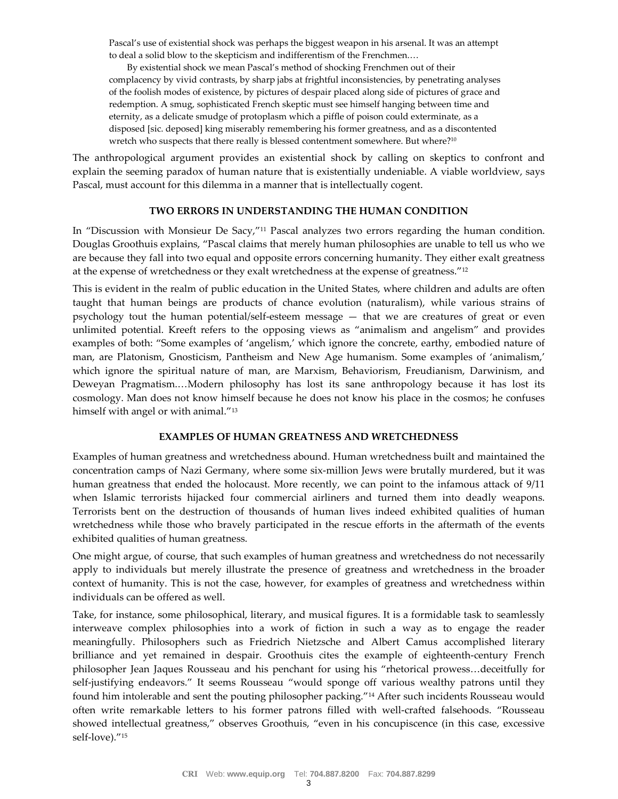Pascal's use of existential shock was perhaps the biggest weapon in his arsenal. It was an attempt to deal a solid blow to the skepticism and indifferentism of the Frenchmen.…

By existential shock we mean Pascal's method of shocking Frenchmen out of their complacency by vivid contrasts, by sharp jabs at frightful inconsistencies, by penetrating analyses of the foolish modes of existence, by pictures of despair placed along side of pictures of grace and redemption. A smug, sophisticated French skeptic must see himself hanging between time and eternity, as a delicate smudge of protoplasm which a piffle of poison could exterminate, as a disposed [sic. deposed] king miserably remembering his former greatness, and as a discontented wretch who suspects that there really is blessed contentment somewhere. But where?<sup>10</sup>

The anthropological argument provides an existential shock by calling on skeptics to confront and explain the seeming paradox of human nature that is existentially undeniable. A viable worldview, says Pascal, must account for this dilemma in a manner that is intellectually cogent.

### **TWO ERRORS IN UNDERSTANDING THE HUMAN CONDITION**

In "Discussion with Monsieur De Sacy,"<sup>11</sup> Pascal analyzes two errors regarding the human condition. Douglas Groothuis explains, "Pascal claims that merely human philosophies are unable to tell us who we are because they fall into two equal and opposite errors concerning humanity. They either exalt greatness at the expense of wretchedness or they exalt wretchedness at the expense of greatness."<sup>12</sup>

This is evident in the realm of public education in the United States, where children and adults are often taught that human beings are products of chance evolution (naturalism), while various strains of psychology tout the human potential/self-esteem message — that we are creatures of great or even unlimited potential. Kreeft refers to the opposing views as "animalism and angelism" and provides examples of both: "Some examples of 'angelism,' which ignore the concrete, earthy, embodied nature of man, are Platonism, Gnosticism, Pantheism and New Age humanism. Some examples of 'animalism,' which ignore the spiritual nature of man, are Marxism, Behaviorism, Freudianism, Darwinism, and Deweyan Pragmatism.…Modern philosophy has lost its sane anthropology because it has lost its cosmology. Man does not know himself because he does not know his place in the cosmos; he confuses himself with angel or with animal."<sup>13</sup>

#### **EXAMPLES OF HUMAN GREATNESS AND WRETCHEDNESS**

Examples of human greatness and wretchedness abound. Human wretchedness built and maintained the concentration camps of Nazi Germany, where some six-million Jews were brutally murdered, but it was human greatness that ended the holocaust. More recently, we can point to the infamous attack of 9/11 when Islamic terrorists hijacked four commercial airliners and turned them into deadly weapons. Terrorists bent on the destruction of thousands of human lives indeed exhibited qualities of human wretchedness while those who bravely participated in the rescue efforts in the aftermath of the events exhibited qualities of human greatness.

One might argue, of course, that such examples of human greatness and wretchedness do not necessarily apply to individuals but merely illustrate the presence of greatness and wretchedness in the broader context of humanity. This is not the case, however, for examples of greatness and wretchedness within individuals can be offered as well.

Take, for instance, some philosophical, literary, and musical figures. It is a formidable task to seamlessly interweave complex philosophies into a work of fiction in such a way as to engage the reader meaningfully. Philosophers such as Friedrich Nietzsche and Albert Camus accomplished literary brilliance and yet remained in despair. Groothuis cites the example of eighteenth-century French philosopher Jean Jaques Rousseau and his penchant for using his "rhetorical prowess…deceitfully for self-justifying endeavors." It seems Rousseau "would sponge off various wealthy patrons until they found him intolerable and sent the pouting philosopher packing."<sup>14</sup> After such incidents Rousseau would often write remarkable letters to his former patrons filled with well-crafted falsehoods. "Rousseau showed intellectual greatness," observes Groothuis, "even in his concupiscence (in this case, excessive self-love)."15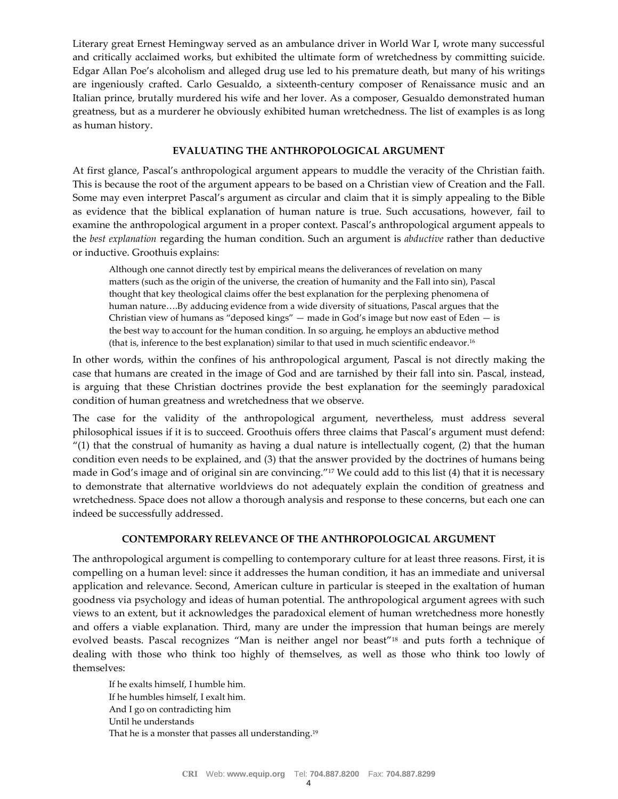Literary great Ernest Hemingway served as an ambulance driver in World War I, wrote many successful and critically acclaimed works, but exhibited the ultimate form of wretchedness by committing suicide. Edgar Allan Poe's alcoholism and alleged drug use led to his premature death, but many of his writings are ingeniously crafted. Carlo Gesualdo, a sixteenth-century composer of Renaissance music and an Italian prince, brutally murdered his wife and her lover. As a composer, Gesualdo demonstrated human greatness, but as a murderer he obviously exhibited human wretchedness. The list of examples is as long as human history.

## **EVALUATING THE ANTHROPOLOGICAL ARGUMENT**

At first glance, Pascal's anthropological argument appears to muddle the veracity of the Christian faith. This is because the root of the argument appears to be based on a Christian view of Creation and the Fall. Some may even interpret Pascal's argument as circular and claim that it is simply appealing to the Bible as evidence that the biblical explanation of human nature is true. Such accusations, however, fail to examine the anthropological argument in a proper context. Pascal's anthropological argument appeals to the *best explanation* regarding the human condition. Such an argument is *abductive* rather than deductive or inductive. Groothuis explains:

Although one cannot directly test by empirical means the deliverances of revelation on many matters (such as the origin of the universe, the creation of humanity and the Fall into sin), Pascal thought that key theological claims offer the best explanation for the perplexing phenomena of human nature….By adducing evidence from a wide diversity of situations, Pascal argues that the Christian view of humans as "deposed kings"  $-$  made in God's image but now east of Eden  $-$  is the best way to account for the human condition. In so arguing, he employs an abductive method (that is, inference to the best explanation) similar to that used in much scientific endeavor.<sup>16</sup>

In other words, within the confines of his anthropological argument, Pascal is not directly making the case that humans are created in the image of God and are tarnished by their fall into sin. Pascal, instead, is arguing that these Christian doctrines provide the best explanation for the seemingly paradoxical condition of human greatness and wretchedness that we observe.

The case for the validity of the anthropological argument, nevertheless, must address several philosophical issues if it is to succeed. Groothuis offers three claims that Pascal's argument must defend:  $''(1)$  that the construal of humanity as having a dual nature is intellectually cogent,  $(2)$  that the human condition even needs to be explained, and (3) that the answer provided by the doctrines of humans being made in God's image and of original sin are convincing."<sup>17</sup> We could add to this list (4) that it is necessary to demonstrate that alternative worldviews do not adequately explain the condition of greatness and wretchedness. Space does not allow a thorough analysis and response to these concerns, but each one can indeed be successfully addressed.

# **CONTEMPORARY RELEVANCE OF THE ANTHROPOLOGICAL ARGUMENT**

The anthropological argument is compelling to contemporary culture for at least three reasons. First, it is compelling on a human level: since it addresses the human condition, it has an immediate and universal application and relevance. Second, American culture in particular is steeped in the exaltation of human goodness via psychology and ideas of human potential. The anthropological argument agrees with such views to an extent, but it acknowledges the paradoxical element of human wretchedness more honestly and offers a viable explanation. Third, many are under the impression that human beings are merely evolved beasts. Pascal recognizes "Man is neither angel nor beast"<sup>18</sup> and puts forth a technique of dealing with those who think too highly of themselves, as well as those who think too lowly of themselves:

If he exalts himself, I humble him. If he humbles himself, I exalt him. And I go on contradicting him Until he understands That he is a monster that passes all understanding.19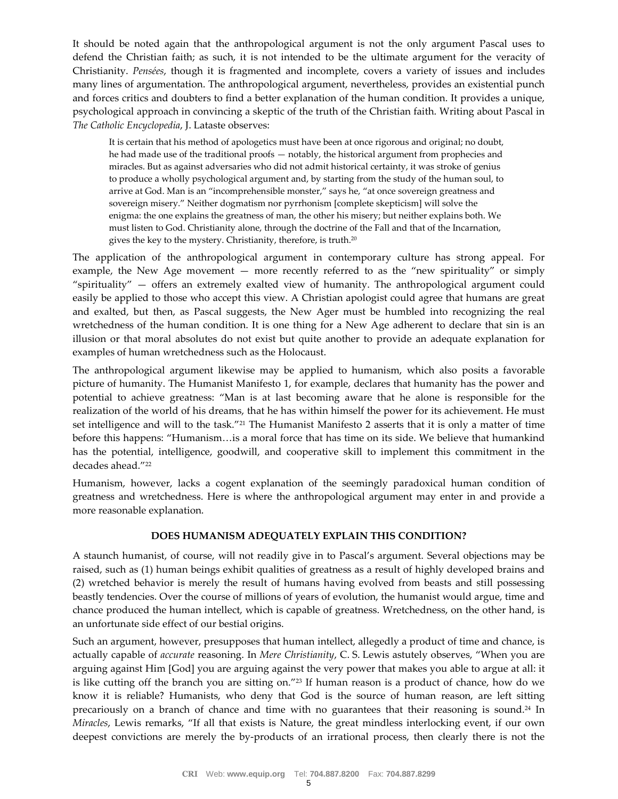It should be noted again that the anthropological argument is not the only argument Pascal uses to defend the Christian faith; as such, it is not intended to be the ultimate argument for the veracity of Christianity. *Pensées*, though it is fragmented and incomplete, covers a variety of issues and includes many lines of argumentation. The anthropological argument, nevertheless, provides an existential punch and forces critics and doubters to find a better explanation of the human condition. It provides a unique, psychological approach in convincing a skeptic of the truth of the Christian faith. Writing about Pascal in *The Catholic Encyclopedia*, J. Lataste observes:

It is certain that his method of apologetics must have been at once rigorous and original; no doubt, he had made use of the traditional proofs — notably, the historical argument from prophecies and miracles. But as against adversaries who did not admit historical certainty, it was stroke of genius to produce a wholly psychological argument and, by starting from the study of the human soul, to arrive at God. Man is an "incomprehensible monster," says he, "at once sovereign greatness and sovereign misery." Neither dogmatism nor pyrrhonism [complete skepticism] will solve the enigma: the one explains the greatness of man, the other his misery; but neither explains both. We must listen to God. Christianity alone, through the doctrine of the Fall and that of the Incarnation, gives the key to the mystery. Christianity, therefore, is truth.<sup>20</sup>

The application of the anthropological argument in contemporary culture has strong appeal. For example, the New Age movement — more recently referred to as the "new spirituality" or simply "spirituality" — offers an extremely exalted view of humanity. The anthropological argument could easily be applied to those who accept this view. A Christian apologist could agree that humans are great and exalted, but then, as Pascal suggests, the New Ager must be humbled into recognizing the real wretchedness of the human condition. It is one thing for a New Age adherent to declare that sin is an illusion or that moral absolutes do not exist but quite another to provide an adequate explanation for examples of human wretchedness such as the Holocaust.

The anthropological argument likewise may be applied to humanism, which also posits a favorable picture of humanity. The Humanist Manifesto 1, for example, declares that humanity has the power and potential to achieve greatness: "Man is at last becoming aware that he alone is responsible for the realization of the world of his dreams, that he has within himself the power for its achievement. He must set intelligence and will to the task."<sup>21</sup> The Humanist Manifesto 2 asserts that it is only a matter of time before this happens: "Humanism…is a moral force that has time on its side. We believe that humankind has the potential, intelligence, goodwill, and cooperative skill to implement this commitment in the decades ahead."<sup>22</sup>

Humanism, however, lacks a cogent explanation of the seemingly paradoxical human condition of greatness and wretchedness. Here is where the anthropological argument may enter in and provide a more reasonable explanation.

## **DOES HUMANISM ADEQUATELY EXPLAIN THIS CONDITION?**

A staunch humanist, of course, will not readily give in to Pascal's argument. Several objections may be raised, such as (1) human beings exhibit qualities of greatness as a result of highly developed brains and (2) wretched behavior is merely the result of humans having evolved from beasts and still possessing beastly tendencies. Over the course of millions of years of evolution, the humanist would argue, time and chance produced the human intellect, which is capable of greatness. Wretchedness, on the other hand, is an unfortunate side effect of our bestial origins.

Such an argument, however, presupposes that human intellect, allegedly a product of time and chance, is actually capable of *accurate* reasoning. In *Mere Christianity*, C. S. Lewis astutely observes, "When you are arguing against Him [God] you are arguing against the very power that makes you able to argue at all: it is like cutting off the branch you are sitting on."<sup>23</sup> If human reason is a product of chance, how do we know it is reliable? Humanists, who deny that God is the source of human reason, are left sitting precariously on a branch of chance and time with no guarantees that their reasoning is sound.<sup>24</sup> In *Miracles*, Lewis remarks, "If all that exists is Nature, the great mindless interlocking event, if our own deepest convictions are merely the by-products of an irrational process, then clearly there is not the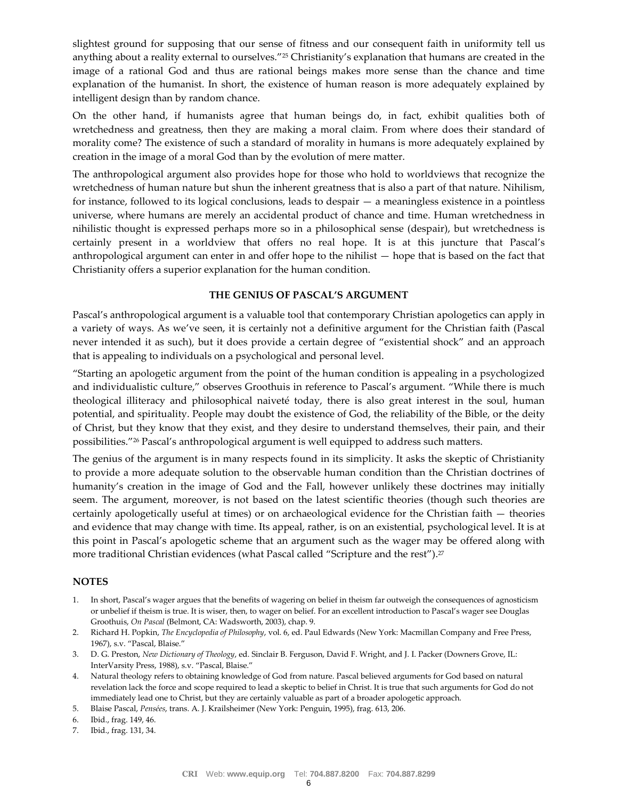slightest ground for supposing that our sense of fitness and our consequent faith in uniformity tell us anything about a reality external to ourselves."<sup>25</sup> Christianity's explanation that humans are created in the image of a rational God and thus are rational beings makes more sense than the chance and time explanation of the humanist. In short, the existence of human reason is more adequately explained by intelligent design than by random chance.

On the other hand, if humanists agree that human beings do, in fact, exhibit qualities both of wretchedness and greatness, then they are making a moral claim. From where does their standard of morality come? The existence of such a standard of morality in humans is more adequately explained by creation in the image of a moral God than by the evolution of mere matter.

The anthropological argument also provides hope for those who hold to worldviews that recognize the wretchedness of human nature but shun the inherent greatness that is also a part of that nature. Nihilism, for instance, followed to its logical conclusions, leads to despair — a meaningless existence in a pointless universe, where humans are merely an accidental product of chance and time. Human wretchedness in nihilistic thought is expressed perhaps more so in a philosophical sense (despair), but wretchedness is certainly present in a worldview that offers no real hope. It is at this juncture that Pascal's anthropological argument can enter in and offer hope to the nihilist — hope that is based on the fact that Christianity offers a superior explanation for the human condition.

## **THE GENIUS OF PASCAL'S ARGUMENT**

Pascal's anthropological argument is a valuable tool that contemporary Christian apologetics can apply in a variety of ways. As we've seen, it is certainly not a definitive argument for the Christian faith (Pascal never intended it as such), but it does provide a certain degree of "existential shock" and an approach that is appealing to individuals on a psychological and personal level.

"Starting an apologetic argument from the point of the human condition is appealing in a psychologized and individualistic culture," observes Groothuis in reference to Pascal's argument. "While there is much theological illiteracy and philosophical naiveté today, there is also great interest in the soul, human potential, and spirituality. People may doubt the existence of God, the reliability of the Bible, or the deity of Christ, but they know that they exist, and they desire to understand themselves, their pain, and their possibilities."<sup>26</sup> Pascal's anthropological argument is well equipped to address such matters.

The genius of the argument is in many respects found in its simplicity. It asks the skeptic of Christianity to provide a more adequate solution to the observable human condition than the Christian doctrines of humanity's creation in the image of God and the Fall, however unlikely these doctrines may initially seem. The argument, moreover, is not based on the latest scientific theories (though such theories are certainly apologetically useful at times) or on archaeological evidence for the Christian faith — theories and evidence that may change with time. Its appeal, rather, is on an existential, psychological level. It is at this point in Pascal's apologetic scheme that an argument such as the wager may be offered along with more traditional Christian evidences (what Pascal called "Scripture and the rest").<sup>27</sup>

## **NOTES**

- 1. In short, Pascal's wager argues that the benefits of wagering on belief in theism far outweigh the consequences of agnosticism or unbelief if theism is true. It is wiser, then, to wager on belief. For an excellent introduction to Pascal's wager see Douglas Groothuis, *On Pascal* (Belmont, CA: Wadsworth, 2003), chap. 9.
- 2. Richard H. Popkin, *The Encyclopedia of Philosophy*, vol. 6, ed. Paul Edwards (New York: Macmillan Company and Free Press, 1967), s.v. "Pascal, Blaise."
- 3. D. G. Preston, *New Dictionary of Theology*, ed. Sinclair B. Ferguson, David F. Wright, and J. I. Packer (Downers Grove, IL: InterVarsity Press, 1988), s.v. "Pascal, Blaise."
- 4. Natural theology refers to obtaining knowledge of God from nature. Pascal believed arguments for God based on natural revelation lack the force and scope required to lead a skeptic to belief in Christ. It is true that such arguments for God do not immediately lead one to Christ, but they are certainly valuable as part of a broader apologetic approach.
- 5. Blaise Pascal, *Pensées*, trans. A. J. Krailsheimer (New York: Penguin, 1995), frag. 613, 206.
- 6. Ibid., frag. 149, 46.
- 7. Ibid., frag. 131, 34.